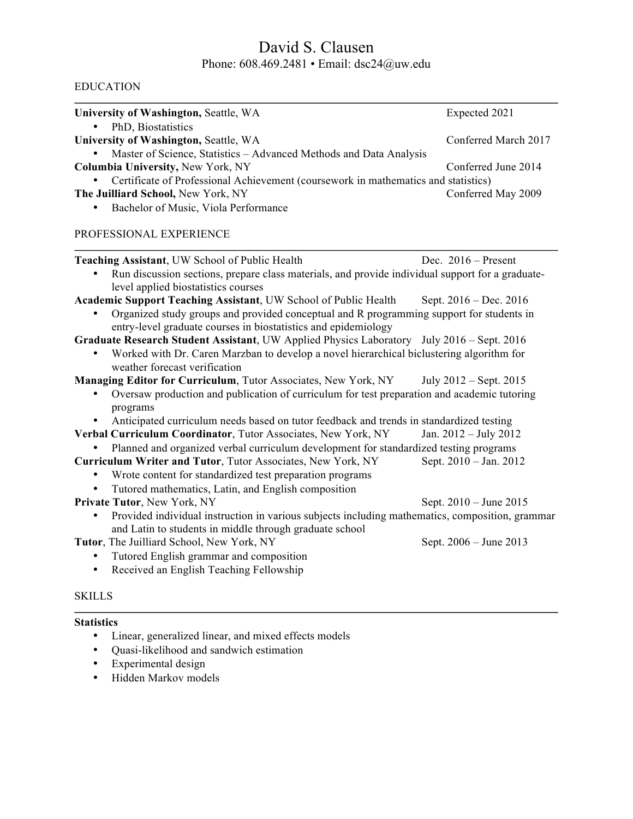# David S. Clausen Phone: 608.469.2481 • Email: dsc24@uw.edu

### EDUCATION

| University of Washington, Seattle, WA                                                                                                   | Expected 2021            |
|-----------------------------------------------------------------------------------------------------------------------------------------|--------------------------|
| PhD, Biostatistics<br>$\bullet$                                                                                                         |                          |
| University of Washington, Seattle, WA                                                                                                   | Conferred March 2017     |
| Master of Science, Statistics – Advanced Methods and Data Analysis                                                                      |                          |
| <b>Columbia University, New York, NY</b>                                                                                                | Conferred June 2014      |
| Certificate of Professional Achievement (coursework in mathematics and statistics)                                                      |                          |
| The Juilliard School, New York, NY                                                                                                      | Conferred May 2009       |
| Bachelor of Music, Viola Performance<br>٠                                                                                               |                          |
| PROFESSIONAL EXPERIENCE                                                                                                                 |                          |
| <b>Teaching Assistant, UW School of Public Health</b>                                                                                   | Dec. $2016$ – Present    |
| Run discussion sections, prepare class materials, and provide individual support for a graduate-<br>level applied biostatistics courses |                          |
| Academic Support Teaching Assistant, UW School of Public Health                                                                         | Sept. $2016 - Dec. 2016$ |

• Organized study groups and provided conceptual and R programming support for students in entry-level graduate courses in biostatistics and epidemiology

**Graduate Research Student Assistant**, UW Applied Physics Laboratory July 2016 – Sept. 2016

• Worked with Dr. Caren Marzban to develop a novel hierarchical biclustering algorithm for weather forecast verification

**Managing Editor for Curriculum**, Tutor Associates, New York, NY July 2012 – Sept. 2015

- Oversaw production and publication of curriculum for test preparation and academic tutoring programs
- Anticipated curriculum needs based on tutor feedback and trends in standardized testing
- **Verbal Curriculum Coordinator**, Tutor Associates, New York, NY Jan. 2012 July 2012
- Planned and organized verbal curriculum development for standardized testing programs<br> **riculum Writer and Tutor**, Tutor Associates, New York, NY<br>
Sept. 2010 Jan. 2012 **Curriculum Writer and Tutor, Tutor Associates, New York, NY**
- Wrote content for standardized test preparation programs
	- Tutored mathematics, Latin, and English composition
- **Private Tutor**, New York, NY Sept. 2010 June 2015
	- Provided individual instruction in various subjects including mathematics, composition, grammar and Latin to students in middle through graduate school

**Tutor**, The Juilliard School, New York, NY Sept. 2006 – June 2013

- Tutored English grammar and composition
- Received an English Teaching Fellowship

### **SKILLS**

#### **Statistics**

- Linear, generalized linear, and mixed effects models
- Quasi-likelihood and sandwich estimation
- Experimental design
- Hidden Markov models